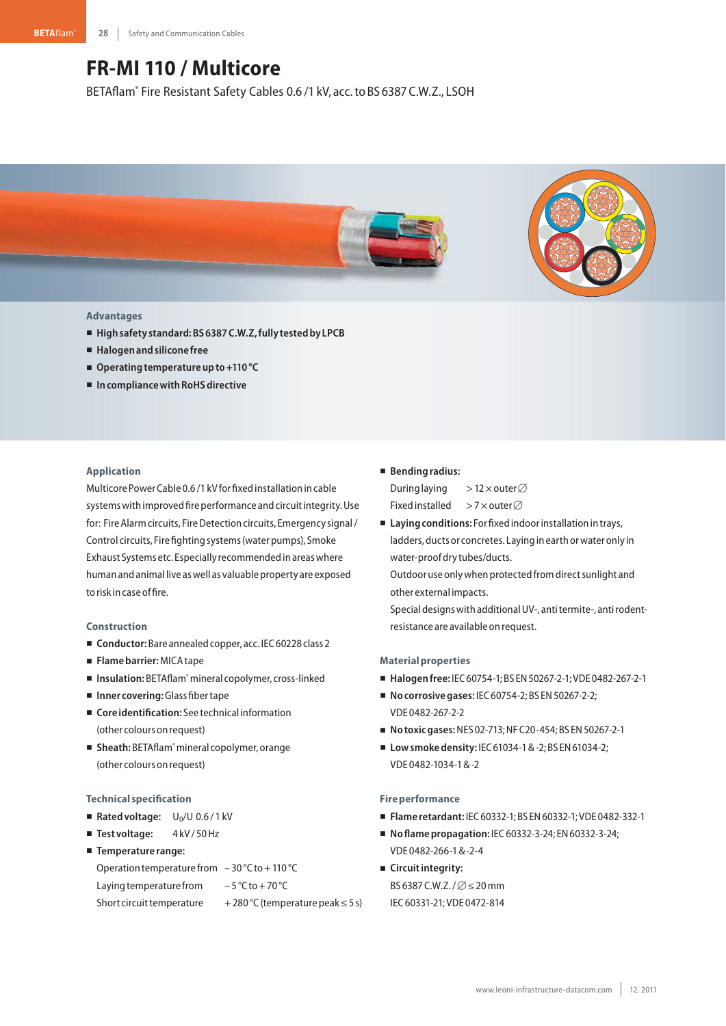# **FR-MI 110 / Multicore**

BETAflam® Fire Resistant Safety Cables 0.6 /1 kV, acc.to BS 6387 C.W.Z., LSOH



## **Advantages**

- **Highsafety standard:BS6387C.W.Z,fully testedby LPCB**
- **Halogenandsilicone free**
- Operating temperature up to +110 °C
- In compliance with RoHS directive

## **Application**

Multicore PowerCable 0.6 /1 kVfor fixedinstallationincable systems with improved fire performance and circuit integrity. Use for: Fire Alarm circuits, Fire Detection circuits, Emergency signal / Control circuits, Fire fightingsystems(waterpumps), Smoke Exhaust Systems etc. Especially recommendedinareaswhere human and animal live as well as valuable property are exposed to risk in case of fire.

### **Construction**

- Conductor: Bare annealed copper, acc. IEC 60228 class 2
- **Flamebarrier:**MICAtape
- Insulation: BETAflam<sup>®</sup> mineral copolymer, cross-linked
- **Inner covering:**Glass fibertape
- Core *identification*: See technical information (other colours on request)
- Sheath: BETAflam® mineral copolymer, orange (other colours onrequest)

#### **Technical specification**

- Rated voltage: U<sub>0</sub>/U 0.6/1 kV
- **Test voltage:** 4 kV/ 50 Hz
- **Temperature range:**

Operation temperature from  $-30$  °C to + 110 °C

Laying temperature from  $-5^{\circ}$ C to + 70 °C

Short circuit temperature  $+280\degree C$  (temperature peak  $\leq 5$  s)

## - **Bendingradius:**

During laying >12 × outer  $\varnothing$ Fixed installed >7 × outer ∅

■ Laying conditions: For fixed indoor installation in trays, ladders, ducts or concretes. Laying in earth or water only in water-proofdry tubes/ducts.

Outdoor use only when protected from direct sunlight and other external impacts.

Special designs with additional UV-, antitermite-, antirodentresistance are available on request.

## **Materialproperties**

- - **Halogenfree:** IEC60754-1;BS EN50267-2-1;VDE 0482-267-2-1
- **No corrosive gases: IEC 60754-2; BS EN 50267-2-2;** VDE 0482-267-2-2
- **Notoxicgases:**NES 02-713;NFC20-454;BS EN50267-2-1
- **Lowsmokedensity:** IEC61034-1&-2;BS EN61034-2; VDE 0482-1034-1&-2

#### **Fireperformance**

- **Flame retardant:** IEC60332-1;BS EN60332-1;VDE 0482-332-1
- **Noflamepropagation:** IEC60332-3-24; EN60332-3-24; VDE 0482-266-1&-2-4
- **E** Circuit integrity: BS 6387 C.W.Z. /  $\varnothing$   $\leq$  20 mm IEC60331-21;VDE 0472-814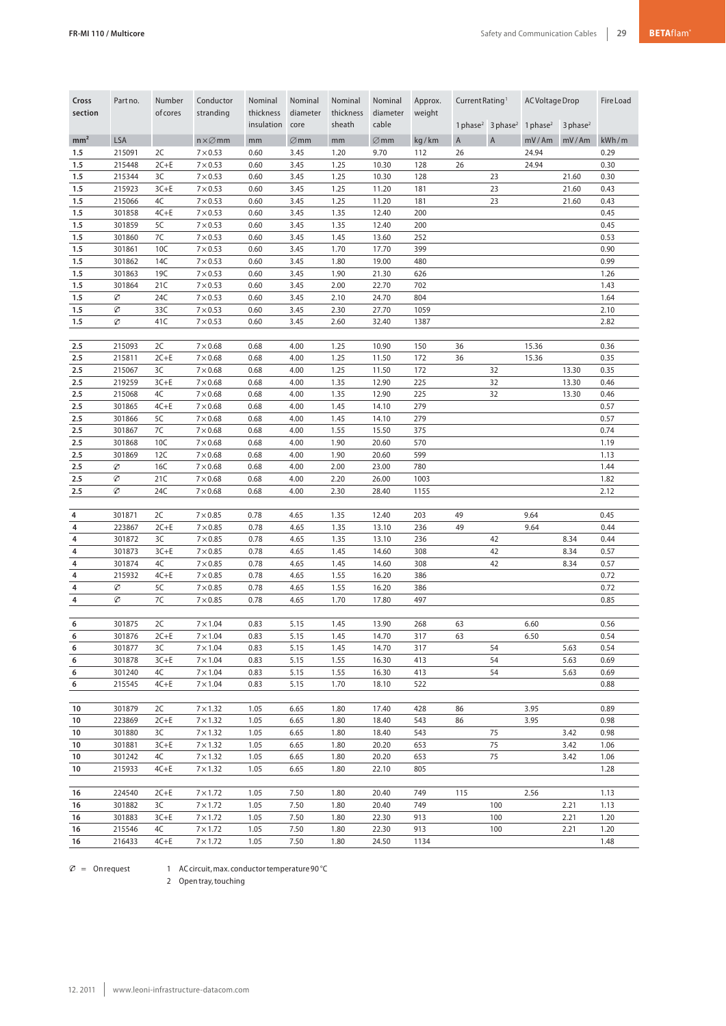| Cross<br>section | Part no.         | Number<br>ofcores | Conductor<br>stranding             | Nominal<br>thickness<br>insulation | Nominal<br>diameter<br>core | Nominal<br>thickness<br>sheath | Nominal<br>diameter<br>cable | Approx.<br>weight | Current Rating <sup>1</sup><br>1 phase <sup>2</sup> 3 phase <sup>2</sup> |                | <b>AC Voltage Drop</b><br>1 phase $2$<br>$3$ phase <sup>2</sup> |              | Fire Load    |
|------------------|------------------|-------------------|------------------------------------|------------------------------------|-----------------------------|--------------------------------|------------------------------|-------------------|--------------------------------------------------------------------------|----------------|-----------------------------------------------------------------|--------------|--------------|
| mm <sup>2</sup>  | <b>LSA</b>       |                   | $n \times \varnothing$ mm          | mm                                 | $\varnothing$ mm            | mm                             | $\varnothing$ mm             | kg/km             | $\mathsf{A}$                                                             | $\overline{A}$ | mV/Am                                                           | mV/Am        | kWh/m        |
| 1.5              | 215091           | 2C                | $7\times 0.53$                     | 0.60                               | 3.45                        | 1.20                           | 9.70                         | 112               | 26                                                                       |                | 24.94                                                           |              | 0.29         |
| 1.5              | 215448           | $2C+E$            | $7 \times 0.53$                    | 0.60                               | 3.45                        | 1.25                           | 10.30                        | 128               | 26                                                                       |                | 24.94                                                           |              | 0.30         |
| 1.5              | 215344           | 3C                | $7 \times 0.53$                    | 0.60                               | 3.45                        | 1.25                           | 10.30                        | 128               |                                                                          | 23             |                                                                 | 21.60        | 0.30         |
| 1.5              | 215923           | $3C + E$          | $7 \times 0.53$                    | 0.60                               | 3.45                        | 1.25                           | 11.20                        | 181               |                                                                          | 23             |                                                                 | 21.60        | 0.43         |
| 1.5              | 215066           | 4C                | $7\times 0.53$                     | 0.60                               | 3.45                        | 1.25                           | 11.20                        | 181               |                                                                          | 23             |                                                                 | 21.60        | 0.43         |
| 1.5              | 301858           | $4C + E$          | $7\times 0.53$                     | 0.60                               | 3.45                        | 1.35                           | 12.40                        | 200               |                                                                          |                |                                                                 |              | 0.45         |
| 1.5              | 301859           | 5C                | $7 \times 0.53$                    | 0.60                               | 3.45                        | 1.35                           | 12.40                        | 200               |                                                                          |                |                                                                 |              | 0.45         |
| 1.5              | 301860           | 7C                | $7 \times 0.53$                    | 0.60                               | 3.45                        | 1.45                           | 13.60                        | 252               |                                                                          |                |                                                                 |              | 0.53         |
| 1.5              | 301861           | 10C               | $7 \times 0.53$                    | 0.60                               | 3.45                        | 1.70                           | 17.70                        | 399               |                                                                          |                |                                                                 |              | 0.90         |
| 1.5<br>1.5       | 301862<br>301863 | 14C<br>19C        | $7 \times 0.53$<br>$7 \times 0.53$ | 0.60<br>0.60                       | 3.45<br>3.45                | 1.80<br>1.90                   | 19.00<br>21.30               | 480<br>626        |                                                                          |                |                                                                 |              | 0.99<br>1.26 |
| 1.5              | 301864           | 21C               | $7 \times 0.53$                    | 0.60                               | 3.45                        | 2.00                           | 22.70                        | 702               |                                                                          |                |                                                                 |              | 1.43         |
| 1.5              | Ø                | 24C               | $7 \times 0.53$                    | 0.60                               | 3.45                        | 2.10                           | 24.70                        | 804               |                                                                          |                |                                                                 |              | 1.64         |
| 1.5              | Ø                | 33C               | $7 \times 0.53$                    | 0.60                               | 3.45                        | 2.30                           | 27.70                        | 1059              |                                                                          |                |                                                                 |              | 2.10         |
| 1.5              | Ø                | 41C               | $7 \times 0.53$                    | 0.60                               | 3.45                        | 2.60                           | 32.40                        | 1387              |                                                                          |                |                                                                 |              | 2.82         |
|                  |                  |                   |                                    |                                    |                             |                                |                              |                   |                                                                          |                |                                                                 |              |              |
| 2.5              | 215093           | 2C                | $7\times0.68$                      | 0.68                               | 4.00                        | 1.25                           | 10.90                        | 150               | 36                                                                       |                | 15.36                                                           |              | 0.36         |
| 2.5              | 215811           | $2C+E$            | $7\times0.68$                      | 0.68                               | 4.00                        | 1.25                           | 11.50                        | 172               | 36                                                                       |                | 15.36                                                           |              | 0.35         |
| 2.5              | 215067           | 3C                | $7\times0.68$                      | 0.68                               | 4.00                        | 1.25                           | 11.50                        | 172               |                                                                          | 32             |                                                                 | 13.30        | 0.35         |
| 2.5              | 219259           | $3C + E$          | $7\times0.68$                      | 0.68                               | 4.00                        | 1.35                           | 12.90                        | 225               |                                                                          | 32             |                                                                 | 13.30        | 0.46         |
| 2.5<br>2.5       | 215068<br>301865 | 4C<br>$4C + E$    | $7\times0.68$<br>$7\times0.68$     | 0.68<br>0.68                       | 4.00<br>4.00                | 1.35<br>1.45                   | 12.90<br>14.10               | 225<br>279        |                                                                          | 32             |                                                                 | 13.30        | 0.46<br>0.57 |
| 2.5              | 301866           | 5C                | $7 \times 0.68$                    | 0.68                               | 4.00                        | 1.45                           | 14.10                        | 279               |                                                                          |                |                                                                 |              | 0.57         |
| 2.5              | 301867           | 7C                | $7\times0.68$                      | 0.68                               | 4.00                        | 1.55                           | 15.50                        | 375               |                                                                          |                |                                                                 |              | 0.74         |
| 2.5              | 301868           | 10C               | $7\times0.68$                      | 0.68                               | 4.00                        | 1.90                           | 20.60                        | 570               |                                                                          |                |                                                                 |              | 1.19         |
| 2.5              | 301869           | 12C               | $7\times0.68$                      | 0.68                               | 4.00                        | 1.90                           | 20.60                        | 599               |                                                                          |                |                                                                 |              | 1.13         |
| 2.5              | Ø                | 16C               | $7\times0.68$                      | 0.68                               | 4.00                        | 2.00                           | 23.00                        | 780               |                                                                          |                |                                                                 |              | 1.44         |
| 2.5              | Ø                | 21C               | $7\times0.68$                      | 0.68                               | 4.00                        | 2.20                           | 26.00                        | 1003              |                                                                          |                |                                                                 |              | 1.82         |
| 2.5              | Ø                | 24C               | $7 \times 0.68$                    | 0.68                               | 4.00                        | 2.30                           | 28.40                        | 1155              |                                                                          |                |                                                                 |              | 2.12         |
|                  |                  |                   |                                    |                                    |                             |                                |                              |                   |                                                                          |                |                                                                 |              |              |
| 4<br>4           | 301871<br>223867 | 2C<br>$2C+E$      | $7\times0.85$<br>$7\times0.85$     | 0.78<br>0.78                       | 4.65<br>4.65                | 1.35<br>1.35                   | 12.40<br>13.10               | 203<br>236        | 49<br>49                                                                 |                | 9.64<br>9.64                                                    |              | 0.45<br>0.44 |
| 4                | 301872           | 3C                | $7\times0.85$                      | 0.78                               | 4.65                        | 1.35                           | 13.10                        | 236               |                                                                          | 42             |                                                                 | 8.34         | 0.44         |
| 4                | 301873           | $3C + E$          | $7\times0.85$                      | 0.78                               | 4.65                        | 1.45                           | 14.60                        | 308               |                                                                          | 42             |                                                                 | 8.34         | 0.57         |
| 4                | 301874           | 4C                | $7\times0.85$                      | 0.78                               | 4.65                        | 1.45                           | 14.60                        | 308               |                                                                          | 42             |                                                                 | 8.34         | 0.57         |
| 4                | 215932           | $4C + E$          | $7 \times 0.85$                    | 0.78                               | 4.65                        | 1.55                           | 16.20                        | 386               |                                                                          |                |                                                                 |              | 0.72         |
| 4                | Ø                | 5C                | $7\times0.85$                      | 0.78                               | 4.65                        | 1.55                           | 16.20                        | 386               |                                                                          |                |                                                                 |              | 0.72         |
| 4                | Ø                | 7C                | $7\times0.85$                      | 0.78                               | 4.65                        | 1.70                           | 17.80                        | 497               |                                                                          |                |                                                                 |              | 0.85         |
|                  | 301875           |                   |                                    |                                    |                             |                                |                              |                   |                                                                          |                |                                                                 |              |              |
| 6<br>6           | 301876           | 2C<br>$2C + E$    | $7 \times 1.04$<br>$7 \times 1.04$ | 0.83<br>0.83                       | 5.15<br>5.15                | 1.45<br>1.45                   | 13.90<br>14.70               | 268<br>317        | 63<br>63                                                                 |                | 6.60<br>6.50                                                    |              | 0.56<br>0.54 |
| 6                | 301877           | 3C                | $7 \times 1.04$                    | 0.83                               | 5.15                        | 1.45                           | 14.70                        | 317               |                                                                          | 54             |                                                                 | 5.63         | 0.54         |
| 6                | 301878           | $3C + E$          | $7 \times 1.04$                    | 0.83                               | 5.15                        | 1.55                           | 16.30                        | 413               |                                                                          | 54             |                                                                 | 5.63         | 0.69         |
| 6                | 301240           | 4C                | $7 \times 1.04$                    | 0.83                               | 5.15                        | 1.55                           | 16.30                        | 413               |                                                                          | 54             |                                                                 | 5.63         | 0.69         |
| 6                | 215545           | $4C + E$          | $7 \times 1.04$                    | 0.83                               | 5.15                        | 1.70                           | 18.10                        | 522               |                                                                          |                |                                                                 |              | 0.88         |
|                  |                  |                   |                                    |                                    |                             |                                |                              |                   |                                                                          |                |                                                                 |              |              |
| 10               | 301879           | 2C                | $7 \times 1.32$                    | 1.05                               | 6.65                        | 1.80                           | 17.40                        | 428               | 86                                                                       |                | 3.95                                                            |              | 0.89         |
| 10               | 223869           | $2C+E$            | $7 \times 1.32$                    | 1.05                               | 6.65                        | 1.80                           | 18.40                        | 543               | 86                                                                       |                | 3.95                                                            |              | 0.98         |
| 10<br>10         | 301880<br>301881 | 3C<br>$3C + E$    | $7 \times 1.32$<br>$7 \times 1.32$ | 1.05<br>1.05                       | 6.65<br>6.65                | 1.80<br>1.80                   | 18.40<br>20.20               | 543<br>653        |                                                                          | 75<br>75       |                                                                 | 3.42<br>3.42 | 0.98<br>1.06 |
| 10               | 301242           | 4C                | $7 \times 1.32$                    | 1.05                               | 6.65                        | 1.80                           | 20.20                        | 653               |                                                                          | 75             |                                                                 | 3.42         | 1.06         |
| 10               | 215933           | $4C + E$          | $7 \times 1.32$                    | 1.05                               | 6.65                        | 1.80                           | 22.10                        | 805               |                                                                          |                |                                                                 |              | 1.28         |
|                  |                  |                   |                                    |                                    |                             |                                |                              |                   |                                                                          |                |                                                                 |              |              |
| 16               | 224540           | $2C+E$            | $7 \times 1.72$                    | 1.05                               | 7.50                        | 1.80                           | 20.40                        | 749               | 115                                                                      |                | 2.56                                                            |              | 1.13         |
| 16               | 301882           | 3C                | $7 \times 1.72$                    | 1.05                               | 7.50                        | 1.80                           | 20.40                        | 749               |                                                                          | 100            |                                                                 | 2.21         | 1.13         |
| 16               | 301883           | $3C + E$          | $7 \times 1.72$                    | 1.05                               | 7.50                        | 1.80                           | 22.30                        | 913               |                                                                          | 100            |                                                                 | 2.21         | 1.20         |
| 16               | 215546           | 4C                | $7 \times 1.72$                    | 1.05                               | 7.50                        | 1.80                           | 22.30                        | 913               |                                                                          | 100            |                                                                 | 2.21         | 1.20         |
| 16               | 216433           | $4C + E$          | $7 \times 1.72$                    | 1.05                               | 7.50                        | 1.80                           | 24.50                        | 1134              |                                                                          |                |                                                                 |              | 1.48         |

 $\varnothing$  = On request 1 AC circuit, max. conductor temperature 90 °C

2 Opentray,touching